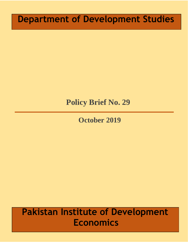# **Department of Development Studies**

# **Policy Brief No. 29**

## **October 2019**

# **Pakistan Institute of Development Economics**